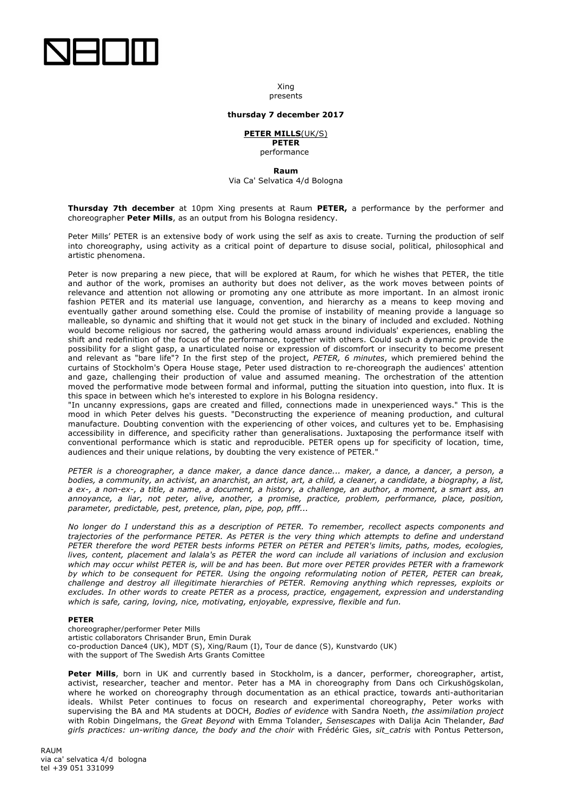

Xing presents

### **thursday 7 december 2017**

# **PETER MILLS**(UK/S) **PETER**

performance

**Raum**

Via Ca' Selvatica 4/d Bologna

**Thursday 7th december** at 10pm Xing presents at Raum **PETER,** a performance by the performer and choreographer **Peter Mills**, as an output from his Bologna residency.

Peter Mills' PETER is an extensive body of work using the self as axis to create. Turning the production of self into choreography, using activity as a critical point of departure to disuse social, political, philosophical and artistic phenomena.

Peter is now preparing a new piece, that will be explored at Raum, for which he wishes that PETER, the title and author of the work, promises an authority but does not deliver, as the work moves between points of relevance and attention not allowing or promoting any one attribute as more important. In an almost ironic fashion PETER and its material use language, convention, and hierarchy as a means to keep moving and eventually gather around something else. Could the promise of instability of meaning provide a language so malleable, so dynamic and shifting that it would not get stuck in the binary of included and excluded. Nothing would become religious nor sacred, the gathering would amass around individuals' experiences, enabling the shift and redefinition of the focus of the performance, together with others. Could such a dynamic provide the possibility for a slight gasp, a unarticulated noise or expression of discomfort or insecurity to become present and relevant as "bare life"? In the first step of the project, *PETER, 6 minutes*, which premiered behind the curtains of Stockholm's Opera House stage, Peter used distraction to re-choreograph the audiences' attention and gaze, challenging their production of value and assumed meaning. The orchestration of the attention moved the performative mode between formal and informal, putting the situation into question, into flux. It is this space in between which he's interested to explore in his Bologna residency.

"In uncanny expressions, gaps are created and filled, connections made in unexperienced ways." This is the mood in which Peter delves his guests. "Deconstructing the experience of meaning production, and cultural manufacture. Doubting convention with the experiencing of other voices, and cultures yet to be. Emphasising accessibility in difference, and specificity rather than generalisations. Juxtaposing the performance itself with conventional performance which is static and reproducible. PETER opens up for specificity of location, time, audiences and their unique relations, by doubting the very existence of PETER."

*PETER is a choreographer, a dance maker, a dance dance dance... maker, a dance, a dancer, a person, a bodies, a community, an activist, an anarchist, an artist, art, a child, a cleaner, a candidate, a biography, a list, a ex-, a non-ex-, a title, a name, a document, a history, a challenge, an author, a moment, a smart ass, an annoyance, a liar, not peter, alive, another, a promise, practice, problem, performance, place, position, parameter, predictable, pest, pretence, plan, pipe, pop, pfff...*

*No longer do I understand this as a description of PETER. To remember, recollect aspects components and trajectories of the performance PETER. As PETER is the very thing which attempts to define and understand PETER therefore the word PETER bests informs PETER on PETER and PETER's limits, paths, modes, ecologies, lives, content, placement and lalala's as PETER the word can include all variations of inclusion and exclusion which may occur whilst PETER is, will be and has been. But more over PETER provides PETER with a framework by which to be consequent for PETER. Using the ongoing reformulating notion of PETER, PETER can break, challenge and destroy all illegitimate hierarchies of PETER. Removing anything which represses, exploits or excludes. In other words to create PETER as a process, practice, engagement, expression and understanding which is safe, caring, loving, nice, motivating, enjoyable, expressive, flexible and fun.*

## **PETER**

choreographer/performer Peter Mills artistic collaborators Chrisander Brun, Emin Durak co-production Dance4 (UK), MDT (S), Xing/Raum (I), Tour de dance (S), Kunstvardo (UK) with the support of The Swedish Arts Grants Comittee

Peter Mills, born in UK and currently based in Stockholm, is a dancer, performer, choreographer, artist, activist, researcher, teacher and mentor. Peter has a MA in choreography from Dans och Cirkushögskolan, where he worked on choreography through documentation as an ethical practice, towards anti-authoritarian ideals. Whilst Peter continues to focus on research and experimental choreography, Peter works with supervising the BA and MA students at DOCH, *Bodies of evidence* with Sandra Noeth, *the assimilation project*  with Robin Dingelmans, the *Great Beyond* with Emma Tolander, *Sensescapes* with Dalija Acin Thelander, *Bad girls practices: un-writing dance, the body and the choir* with Frédéric Gies, *sit\_catris* with Pontus Petterson,

RAUM via ca' selvatica 4/d bologna tel +39 051 331099